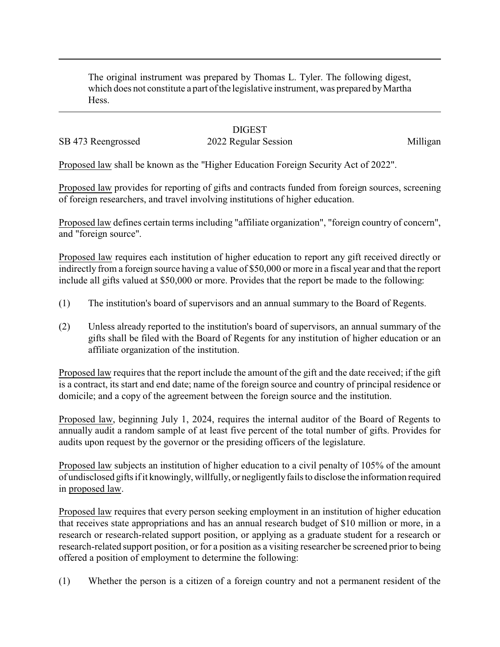The original instrument was prepared by Thomas L. Tyler. The following digest, which does not constitute a part of the legislative instrument, was prepared by Martha Hess.

## **DIGEST**

SB 473 Reengrossed 2022 Regular Session Milligan

Proposed law shall be known as the "Higher Education Foreign Security Act of 2022".

Proposed law provides for reporting of gifts and contracts funded from foreign sources, screening of foreign researchers, and travel involving institutions of higher education.

Proposed law defines certain terms including "affiliate organization", "foreign country of concern", and "foreign source".

Proposed law requires each institution of higher education to report any gift received directly or indirectly from a foreign source having a value of \$50,000 or more in a fiscal year and that the report include all gifts valued at \$50,000 or more. Provides that the report be made to the following:

- (1) The institution's board of supervisors and an annual summary to the Board of Regents.
- (2) Unless already reported to the institution's board of supervisors, an annual summary of the gifts shall be filed with the Board of Regents for any institution of higher education or an affiliate organization of the institution.

Proposed law requires that the report include the amount of the gift and the date received; if the gift is a contract, its start and end date; name of the foreign source and country of principal residence or domicile; and a copy of the agreement between the foreign source and the institution.

Proposed law, beginning July 1, 2024, requires the internal auditor of the Board of Regents to annually audit a random sample of at least five percent of the total number of gifts. Provides for audits upon request by the governor or the presiding officers of the legislature.

Proposed law subjects an institution of higher education to a civil penalty of 105% of the amount of undisclosed gifts if it knowingly, willfully, or negligentlyfails to disclose the information required in proposed law.

Proposed law requires that every person seeking employment in an institution of higher education that receives state appropriations and has an annual research budget of \$10 million or more, in a research or research-related support position, or applying as a graduate student for a research or research-related support position, or for a position as a visiting researcher be screened prior to being offered a position of employment to determine the following:

(1) Whether the person is a citizen of a foreign country and not a permanent resident of the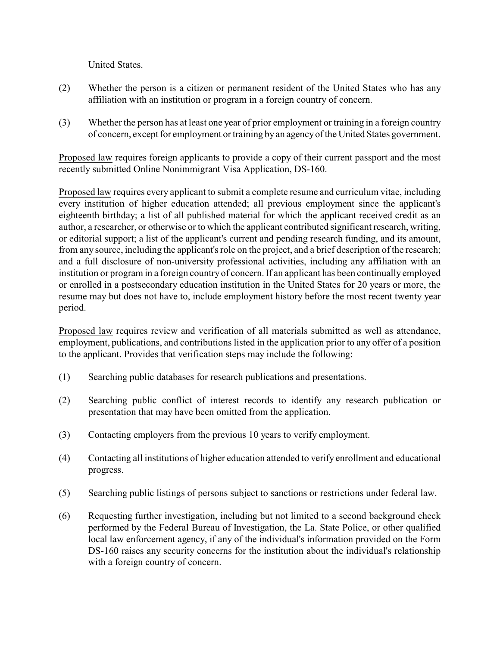United States.

- (2) Whether the person is a citizen or permanent resident of the United States who has any affiliation with an institution or program in a foreign country of concern.
- (3) Whether the person has at least one year of prior employment or training in a foreign country of concern, except for employment or training by an agencyof the United States government.

Proposed law requires foreign applicants to provide a copy of their current passport and the most recently submitted Online Nonimmigrant Visa Application, DS-160.

Proposed law requires every applicant to submit a complete resume and curriculum vitae, including every institution of higher education attended; all previous employment since the applicant's eighteenth birthday; a list of all published material for which the applicant received credit as an author, a researcher, or otherwise or to which the applicant contributed significant research, writing, or editorial support; a list of the applicant's current and pending research funding, and its amount, from any source, including the applicant's role on the project, and a brief description of the research; and a full disclosure of non-university professional activities, including any affiliation with an institution or program in a foreign country of concern. If an applicant has been continually employed or enrolled in a postsecondary education institution in the United States for 20 years or more, the resume may but does not have to, include employment history before the most recent twenty year period.

Proposed law requires review and verification of all materials submitted as well as attendance, employment, publications, and contributions listed in the application prior to any offer of a position to the applicant. Provides that verification steps may include the following:

- (1) Searching public databases for research publications and presentations.
- (2) Searching public conflict of interest records to identify any research publication or presentation that may have been omitted from the application.
- (3) Contacting employers from the previous 10 years to verify employment.
- (4) Contacting all institutions of higher education attended to verify enrollment and educational progress.
- (5) Searching public listings of persons subject to sanctions or restrictions under federal law.
- (6) Requesting further investigation, including but not limited to a second background check performed by the Federal Bureau of Investigation, the La. State Police, or other qualified local law enforcement agency, if any of the individual's information provided on the Form DS-160 raises any security concerns for the institution about the individual's relationship with a foreign country of concern.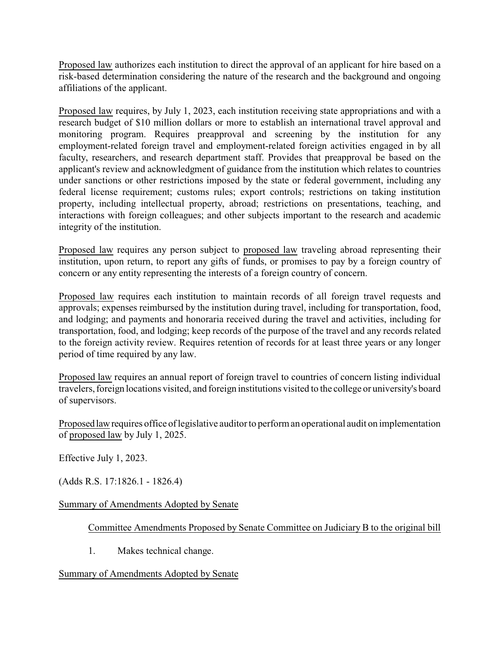Proposed law authorizes each institution to direct the approval of an applicant for hire based on a risk-based determination considering the nature of the research and the background and ongoing affiliations of the applicant.

Proposed law requires, by July 1, 2023, each institution receiving state appropriations and with a research budget of \$10 million dollars or more to establish an international travel approval and monitoring program. Requires preapproval and screening by the institution for any employment-related foreign travel and employment-related foreign activities engaged in by all faculty, researchers, and research department staff. Provides that preapproval be based on the applicant's review and acknowledgment of guidance from the institution which relates to countries under sanctions or other restrictions imposed by the state or federal government, including any federal license requirement; customs rules; export controls; restrictions on taking institution property, including intellectual property, abroad; restrictions on presentations, teaching, and interactions with foreign colleagues; and other subjects important to the research and academic integrity of the institution.

Proposed law requires any person subject to proposed law traveling abroad representing their institution, upon return, to report any gifts of funds, or promises to pay by a foreign country of concern or any entity representing the interests of a foreign country of concern.

Proposed law requires each institution to maintain records of all foreign travel requests and approvals; expenses reimbursed by the institution during travel, including for transportation, food, and lodging; and payments and honoraria received during the travel and activities, including for transportation, food, and lodging; keep records of the purpose of the travel and any records related to the foreign activity review. Requires retention of records for at least three years or any longer period of time required by any law.

Proposed law requires an annual report of foreign travel to countries of concern listing individual travelers, foreign locations visited, and foreign institutions visited to the college or university's board of supervisors.

Proposed lawrequires office of legislative auditor to perform an operational audit on implementation of proposed law by July 1, 2025.

Effective July 1, 2023.

(Adds R.S. 17:1826.1 - 1826.4)

## Summary of Amendments Adopted by Senate

Committee Amendments Proposed by Senate Committee on Judiciary B to the original bill

1. Makes technical change.

## Summary of Amendments Adopted by Senate